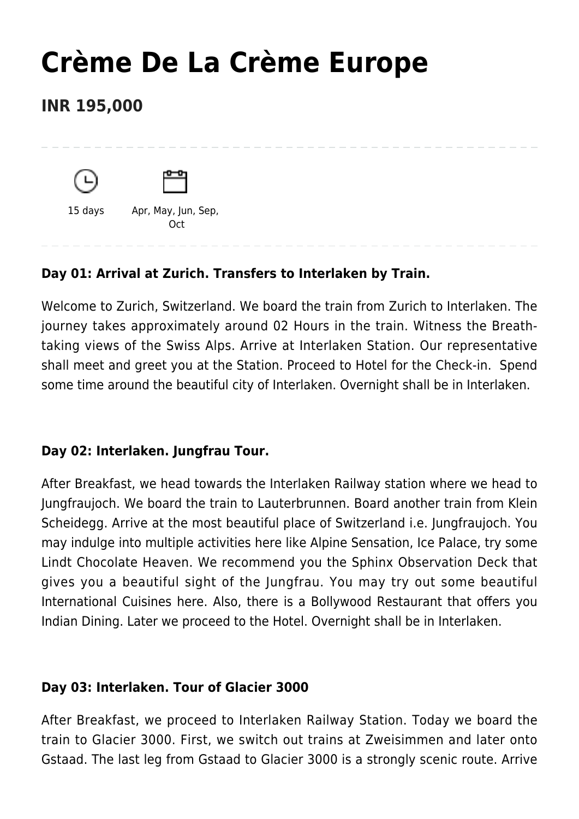# **[Crème De La Crème Europe](https://www.mylastminutetrip.com/tour/creme-de-la-creme-europe/)**

# **INR 195,000**





15 days Apr, May, Jun, Sep, **Oct** 

# **Day 01: Arrival at Zurich. Transfers to Interlaken by Train.**

Welcome to Zurich, Switzerland. We board the train from Zurich to Interlaken. The journey takes approximately around 02 Hours in the train. Witness the Breathtaking views of the Swiss Alps. Arrive at Interlaken Station. Our representative shall meet and greet you at the Station. Proceed to Hotel for the Check-in. Spend some time around the beautiful city of Interlaken. Overnight shall be in Interlaken.

# **Day 02: Interlaken. Jungfrau Tour.**

After Breakfast, we head towards the Interlaken Railway station where we head to Jungfraujoch. We board the train to Lauterbrunnen. Board another train from Klein Scheidegg. Arrive at the most beautiful place of Switzerland i.e. Jungfraujoch. You may indulge into multiple activities here like Alpine Sensation, Ice Palace, try some Lindt Chocolate Heaven. We recommend you the Sphinx Observation Deck that gives you a beautiful sight of the Jungfrau. You may try out some beautiful International Cuisines here. Also, there is a Bollywood Restaurant that offers you Indian Dining. Later we proceed to the Hotel. Overnight shall be in Interlaken.

# **Day 03: Interlaken. Tour of Glacier 3000**

After Breakfast, we proceed to Interlaken Railway Station. Today we board the train to Glacier 3000. First, we switch out trains at Zweisimmen and later onto Gstaad. The last leg from Gstaad to Glacier 3000 is a strongly scenic route. Arrive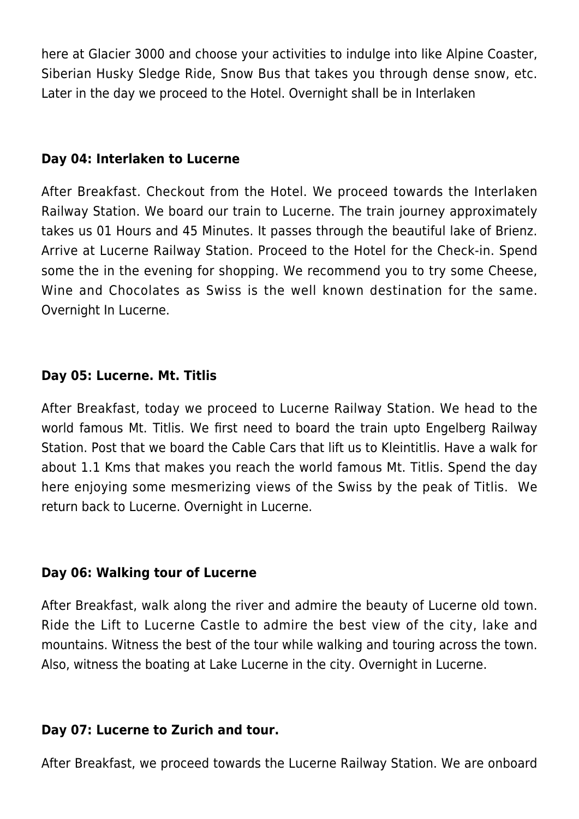here at Glacier 3000 and choose your activities to indulge into like Alpine Coaster, Siberian Husky Sledge Ride, Snow Bus that takes you through dense snow, etc. Later in the day we proceed to the Hotel. Overnight shall be in Interlaken

#### **Day 04: Interlaken to Lucerne**

After Breakfast. Checkout from the Hotel. We proceed towards the Interlaken Railway Station. We board our train to Lucerne. The train journey approximately takes us 01 Hours and 45 Minutes. It passes through the beautiful lake of Brienz. Arrive at Lucerne Railway Station. Proceed to the Hotel for the Check-in. Spend some the in the evening for shopping. We recommend you to try some Cheese, Wine and Chocolates as Swiss is the well known destination for the same. Overnight In Lucerne.

# **Day 05: Lucerne. Mt. Titlis**

After Breakfast, today we proceed to Lucerne Railway Station. We head to the world famous Mt. Titlis. We first need to board the train upto Engelberg Railway Station. Post that we board the Cable Cars that lift us to Kleintitlis. Have a walk for about 1.1 Kms that makes you reach the world famous Mt. Titlis. Spend the day here enjoying some mesmerizing views of the Swiss by the peak of Titlis. We return back to Lucerne. Overnight in Lucerne.

#### **Day 06: Walking tour of Lucerne**

After Breakfast, walk along the river and admire the beauty of Lucerne old town. Ride the Lift to Lucerne Castle to admire the best view of the city, lake and mountains. Witness the best of the tour while walking and touring across the town. Also, witness the boating at Lake Lucerne in the city. Overnight in Lucerne.

#### **Day 07: Lucerne to Zurich and tour.**

After Breakfast, we proceed towards the Lucerne Railway Station. We are onboard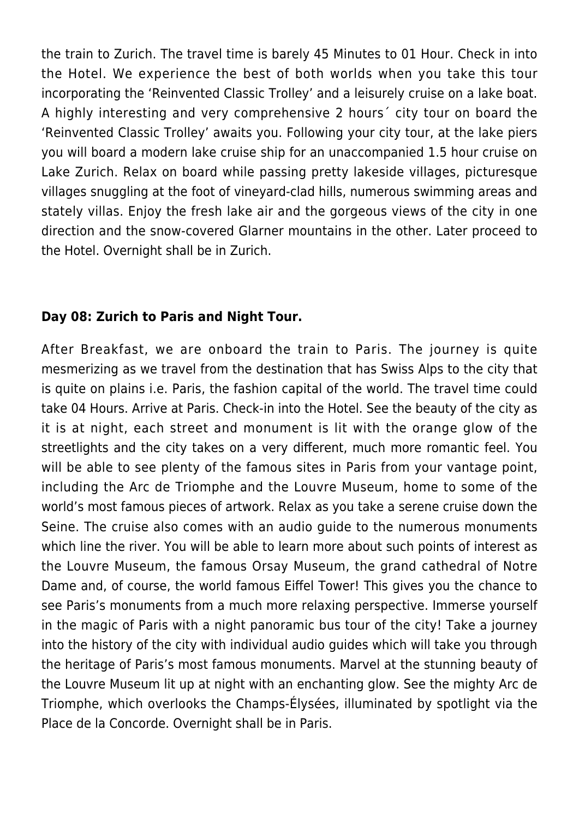the train to Zurich. The travel time is barely 45 Minutes to 01 Hour. Check in into the Hotel. We experience the best of both worlds when you take this tour incorporating the 'Reinvented Classic Trolley' and a leisurely cruise on a lake boat. A highly interesting and very comprehensive 2 hours´ city tour on board the 'Reinvented Classic Trolley' awaits you. Following your city tour, at the lake piers you will board a modern lake cruise ship for an unaccompanied 1.5 hour cruise on Lake Zurich. Relax on board while passing pretty lakeside villages, picturesque villages snuggling at the foot of vineyard-clad hills, numerous swimming areas and stately villas. Enjoy the fresh lake air and the gorgeous views of the city in one direction and the snow-covered Glarner mountains in the other. Later proceed to the Hotel. Overnight shall be in Zurich.

# **Day 08: Zurich to Paris and Night Tour.**

After Breakfast, we are onboard the train to Paris. The journey is quite mesmerizing as we travel from the destination that has Swiss Alps to the city that is quite on plains i.e. Paris, the fashion capital of the world. The travel time could take 04 Hours. Arrive at Paris. Check-in into the Hotel. See the beauty of the city as it is at night, each street and monument is lit with the orange glow of the streetlights and the city takes on a very different, much more romantic feel. You will be able to see plenty of the famous sites in Paris from your vantage point, including the Arc de Triomphe and the Louvre Museum, home to some of the world's most famous pieces of artwork. Relax as you take a serene cruise down the Seine. The cruise also comes with an audio guide to the numerous monuments which line the river. You will be able to learn more about such points of interest as the Louvre Museum, the famous Orsay Museum, the grand cathedral of Notre Dame and, of course, the world famous Eiffel Tower! This gives you the chance to see Paris's monuments from a much more relaxing perspective. Immerse yourself in the magic of Paris with a night panoramic bus tour of the city! Take a journey into the history of the city with individual audio guides which will take you through the heritage of Paris's most famous monuments. Marvel at the stunning beauty of the Louvre Museum lit up at night with an enchanting glow. See the mighty Arc de Triomphe, which overlooks the Champs-Élysées, illuminated by spotlight via the Place de la Concorde. Overnight shall be in Paris.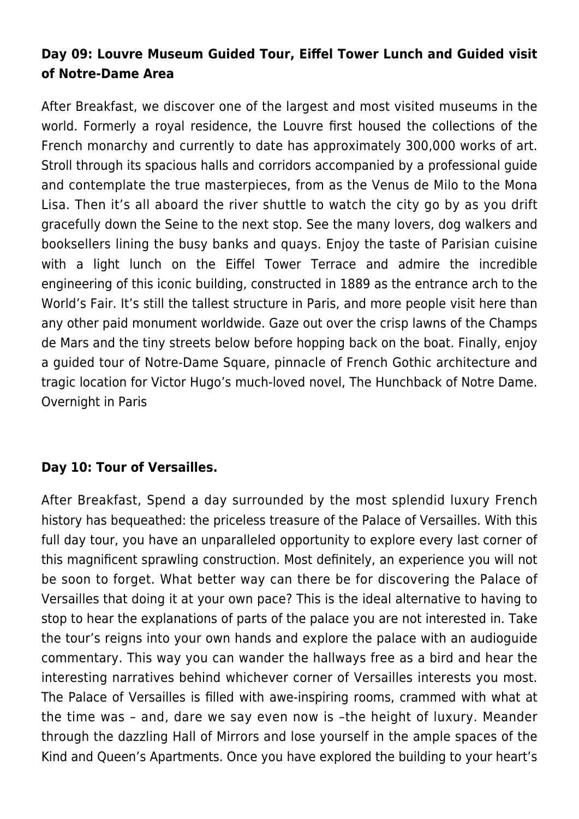# **Day 09: Louvre Museum Guided Tour, Eiffel Tower Lunch and Guided visit of Notre-Dame Area**

After Breakfast, we discover one of the largest and most visited museums in the world. Formerly a royal residence, the Louvre first housed the collections of the French monarchy and currently to date has approximately 300,000 works of art. Stroll through its spacious halls and corridors accompanied by a professional guide and contemplate the true masterpieces, from as the Venus de Milo to the Mona Lisa. Then it's all aboard the river shuttle to watch the city go by as you drift gracefully down the Seine to the next stop. See the many lovers, dog walkers and booksellers lining the busy banks and quays. Enjoy the taste of Parisian cuisine with a light lunch on the Eiffel Tower Terrace and admire the incredible engineering of this iconic building, constructed in 1889 as the entrance arch to the World's Fair. It's still the tallest structure in Paris, and more people visit here than any other paid monument worldwide. Gaze out over the crisp lawns of the Champs de Mars and the tiny streets below before hopping back on the boat. Finally, enjoy a guided tour of Notre-Dame Square, pinnacle of French Gothic architecture and tragic location for Victor Hugo's much-loved novel, The Hunchback of Notre Dame. Overnight in Paris

# **Day 10: Tour of Versailles.**

After Breakfast, Spend a day surrounded by the most splendid luxury French history has bequeathed: the priceless treasure of the Palace of Versailles. With this full day tour, you have an unparalleled opportunity to explore every last corner of this magnificent sprawling construction. Most definitely, an experience you will not be soon to forget. What better way can there be for discovering the Palace of Versailles that doing it at your own pace? This is the ideal alternative to having to stop to hear the explanations of parts of the palace you are not interested in. Take the tour's reigns into your own hands and explore the palace with an audioguide commentary. This way you can wander the hallways free as a bird and hear the interesting narratives behind whichever corner of Versailles interests you most. The Palace of Versailles is filled with awe-inspiring rooms, crammed with what at the time was – and, dare we say even now is –the height of luxury. Meander through the dazzling Hall of Mirrors and lose yourself in the ample spaces of the Kind and Queen's Apartments. Once you have explored the building to your heart's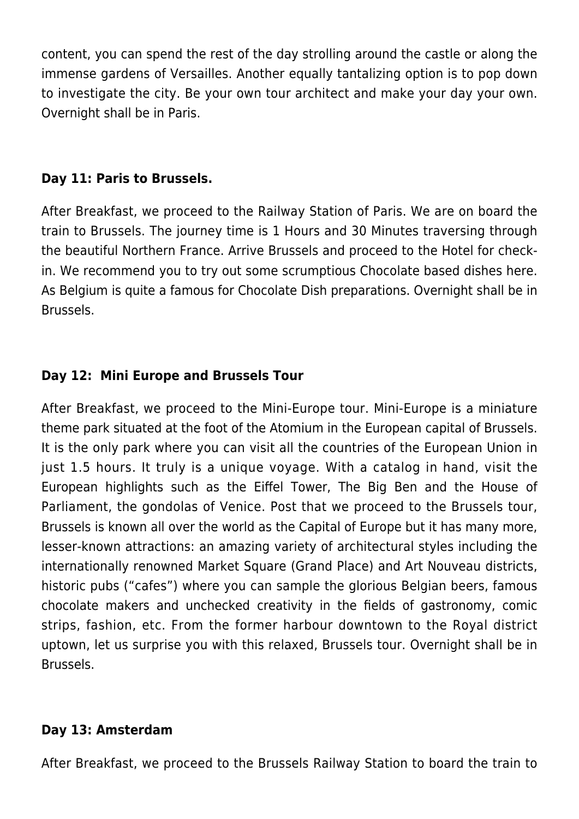content, you can spend the rest of the day strolling around the castle or along the immense gardens of Versailles. Another equally tantalizing option is to pop down to investigate the city. Be your own tour architect and make your day your own. Overnight shall be in Paris.

# **Day 11: Paris to Brussels.**

After Breakfast, we proceed to the Railway Station of Paris. We are on board the train to Brussels. The journey time is 1 Hours and 30 Minutes traversing through the beautiful Northern France. Arrive Brussels and proceed to the Hotel for checkin. We recommend you to try out some scrumptious Chocolate based dishes here. As Belgium is quite a famous for Chocolate Dish preparations. Overnight shall be in Brussels.

# **Day 12: Mini Europe and Brussels Tour**

After Breakfast, we proceed to the Mini-Europe tour. Mini-Europe is a miniature theme park situated at the foot of the Atomium in the European capital of Brussels. It is the only park where you can visit all the countries of the European Union in just 1.5 hours. It truly is a unique voyage. With a catalog in hand, visit the European highlights such as the Eiffel Tower, The Big Ben and the House of Parliament, the gondolas of Venice. Post that we proceed to the Brussels tour, Brussels is known all over the world as the Capital of Europe but it has many more, lesser-known attractions: an amazing variety of architectural styles including the internationally renowned Market Square (Grand Place) and Art Nouveau districts, historic pubs ("cafes") where you can sample the glorious Belgian beers, famous chocolate makers and unchecked creativity in the fields of gastronomy, comic strips, fashion, etc. From the former harbour downtown to the Royal district uptown, let us surprise you with this relaxed, Brussels tour. Overnight shall be in Brussels.

# **Day 13: Amsterdam**

After Breakfast, we proceed to the Brussels Railway Station to board the train to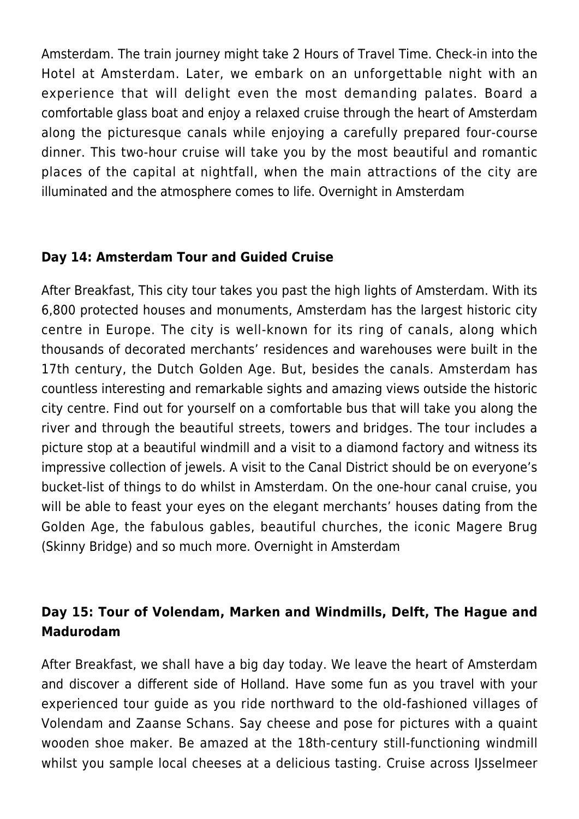Amsterdam. The train journey might take 2 Hours of Travel Time. Check-in into the Hotel at Amsterdam. Later, we embark on an unforgettable night with an experience that will delight even the most demanding palates. Board a comfortable glass boat and enjoy a relaxed cruise through the heart of Amsterdam along the picturesque canals while enjoying a carefully prepared four-course dinner. This two-hour cruise will take you by the most beautiful and romantic places of the capital at nightfall, when the main attractions of the city are illuminated and the atmosphere comes to life. Overnight in Amsterdam

# **Day 14: Amsterdam Tour and Guided Cruise**

After Breakfast, This city tour takes you past the high lights of Amsterdam. With its 6,800 protected houses and monuments, Amsterdam has the largest historic city centre in Europe. The city is well-known for its ring of canals, along which thousands of decorated merchants' residences and warehouses were built in the 17th century, the Dutch Golden Age. But, besides the canals. Amsterdam has countless interesting and remarkable sights and amazing views outside the historic city centre. Find out for yourself on a comfortable bus that will take you along the river and through the beautiful streets, towers and bridges. The tour includes a picture stop at a beautiful windmill and a visit to a diamond factory and witness its impressive collection of jewels. A visit to the Canal District should be on everyone's bucket-list of things to do whilst in Amsterdam. On the one-hour canal cruise, you will be able to feast your eyes on the elegant merchants' houses dating from the Golden Age, the fabulous gables, beautiful churches, the iconic Magere Brug (Skinny Bridge) and so much more. Overnight in Amsterdam

# **Day 15: Tour of Volendam, Marken and Windmills, Delft, The Hague and Madurodam**

After Breakfast, we shall have a big day today. We leave the heart of Amsterdam and discover a different side of Holland. Have some fun as you travel with your experienced tour guide as you ride northward to the old-fashioned villages of Volendam and Zaanse Schans. Say cheese and pose for pictures with a quaint wooden shoe maker. Be amazed at the 18th-century still-functioning windmill whilst you sample local cheeses at a delicious tasting. Cruise across IJsselmeer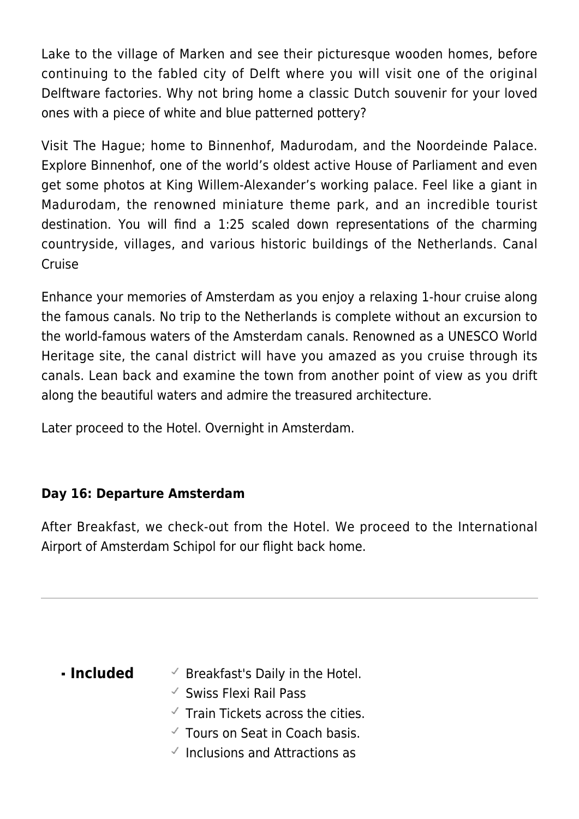Lake to the village of Marken and see their picturesque wooden homes, before continuing to the fabled city of Delft where you will visit one of the original Delftware factories. Why not bring home a classic Dutch souvenir for your loved ones with a piece of white and blue patterned pottery?

Visit The Hague; home to Binnenhof, Madurodam, and the Noordeinde Palace. Explore Binnenhof, one of the world's oldest active House of Parliament and even get some photos at King Willem-Alexander's working palace. Feel like a giant in Madurodam, the renowned miniature theme park, and an incredible tourist destination. You will find a 1:25 scaled down representations of the charming countryside, villages, and various historic buildings of the Netherlands. Canal Cruise

Enhance your memories of Amsterdam as you enjoy a relaxing 1-hour cruise along the famous canals. No trip to the Netherlands is complete without an excursion to the world-famous waters of the Amsterdam canals. Renowned as a UNESCO World Heritage site, the canal district will have you amazed as you cruise through its canals. Lean back and examine the town from another point of view as you drift along the beautiful waters and admire the treasured architecture.

Later proceed to the Hotel. Overnight in Amsterdam.

# **Day 16: Departure Amsterdam**

After Breakfast, we check-out from the Hotel. We proceed to the International Airport of Amsterdam Schipol for our flight back home.

- **Included**  $\checkmark$  Breakfast's Daily in the Hotel.
	- $\checkmark$  Swiss Flexi Rail Pass
	- $\checkmark$  Train Tickets across the cities.
	- $\checkmark$  Tours on Seat in Coach basis.
	- $\overline{\phantom{a}}$  Inclusions and Attractions as